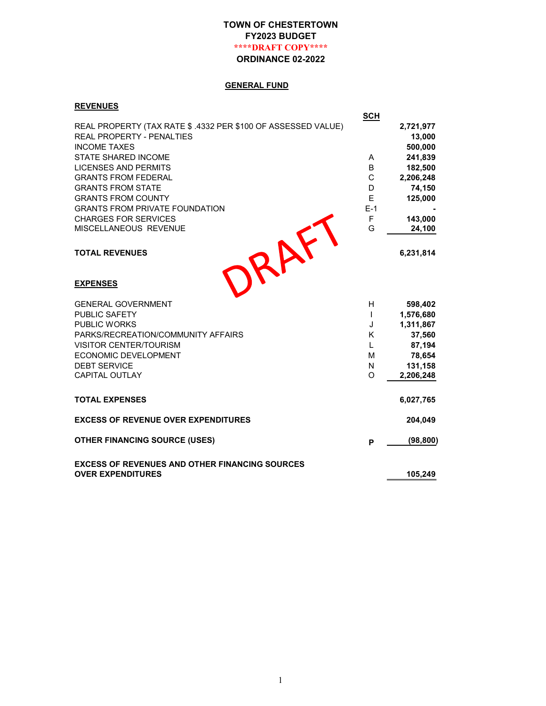# TOWN OF CHESTERTOWN FY2023 BUDGET \*\*\*\*DRAFT COPY\*\*\*\*

ORDINANCE 02-2022

# GENERAL FUND

#### **REVENUES**

|                                                              | <b>SCH</b>   |           |
|--------------------------------------------------------------|--------------|-----------|
| REAL PROPERTY (TAX RATE \$.4332 PER \$100 OF ASSESSED VALUE) |              | 2,721,977 |
| REAL PROPERTY - PENALTIES                                    |              | 13,000    |
| <b>INCOME TAXES</b>                                          |              | 500,000   |
| <b>STATE SHARED INCOME</b>                                   | A            | 241,839   |
| <b>LICENSES AND PERMITS</b>                                  | B            | 182,500   |
| <b>GRANTS FROM FEDERAL</b>                                   | C            | 2,206,248 |
| <b>GRANTS FROM STATE</b>                                     | D            | 74,150    |
| <b>GRANTS FROM COUNTY</b>                                    | E            | 125,000   |
| <b>GRANTS FROM PRIVATE FOUNDATION</b>                        | $E-1$        |           |
| <b>CHARGES FOR SERVICES</b>                                  | F            | 143,000   |
| MISCELLANEOUS REVENUE                                        | G            | 24,100    |
|                                                              |              |           |
| <b>TOTAL REVENUES</b>                                        |              | 6,231,814 |
|                                                              |              |           |
| RAFT<br><b>EXPENSES</b>                                      |              |           |
| <b>GENERAL GOVERNMENT</b>                                    | H            | 598,402   |
| PUBLIC SAFETY                                                | $\mathsf{I}$ | 1,576,680 |
| <b>PUBLIC WORKS</b>                                          | J            | 1,311,867 |
| PARKS/RECREATION/COMMUNITY AFFAIRS                           | K            | 37,560    |
| <b>VISITOR CENTER/TOURISM</b>                                | $\mathbf{L}$ | 87,194    |
| ECONOMIC DEVELOPMENT                                         | М            | 78,654    |
| <b>DEBT SERVICE</b>                                          | N            | 131,158   |
| <b>CAPITAL OUTLAY</b>                                        | O            | 2,206,248 |
| <b>TOTAL EXPENSES</b>                                        |              | 6,027,765 |
| <b>EXCESS OF REVENUE OVER EXPENDITURES</b>                   |              | 204,049   |
| <b>OTHER FINANCING SOURCE (USES)</b>                         | P            | (98, 800) |
| <b>EXCESS OF REVENUES AND OTHER FINANCING SOURCES</b>        |              |           |
| <b>OVER EXPENDITURES</b>                                     |              | 105,249   |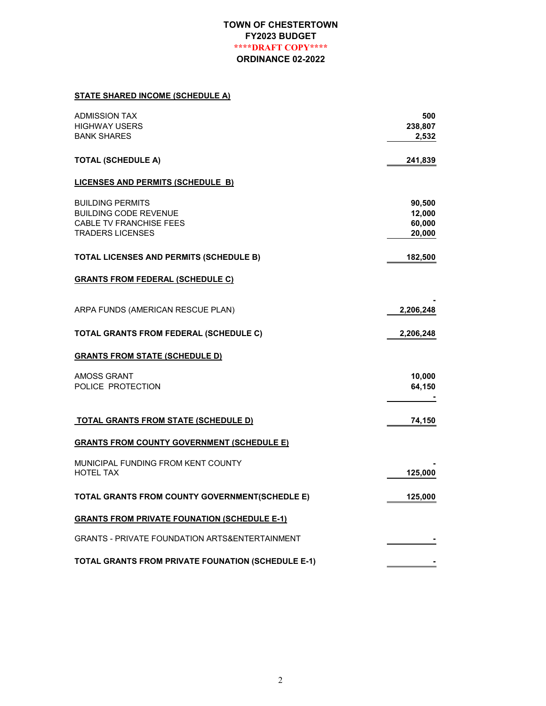#### STATE SHARED INCOME (SCHEDULE A)

| <b>ADMISSION TAX</b>                                      | 500       |
|-----------------------------------------------------------|-----------|
| <b>HIGHWAY USERS</b>                                      | 238,807   |
| <b>BANK SHARES</b>                                        | 2,532     |
| <b>TOTAL (SCHEDULE A)</b>                                 | 241,839   |
| <b>LICENSES AND PERMITS (SCHEDULE B)</b>                  |           |
| <b>BUILDING PERMITS</b>                                   | 90,500    |
| <b>BUILDING CODE REVENUE</b>                              | 12,000    |
| <b>CABLE TV FRANCHISE FEES</b>                            | 60,000    |
| <b>TRADERS LICENSES</b>                                   | 20,000    |
| <b>TOTAL LICENSES AND PERMITS (SCHEDULE B)</b>            | 182,500   |
| <b>GRANTS FROM FEDERAL (SCHEDULE C)</b>                   |           |
| ARPA FUNDS (AMERICAN RESCUE PLAN)                         | 2,206,248 |
| <b>TOTAL GRANTS FROM FEDERAL (SCHEDULE C)</b>             | 2,206,248 |
| <b>GRANTS FROM STATE (SCHEDULE D)</b>                     |           |
|                                                           | 10,000    |
| AMOSS GRANT<br>POLICE PROTECTION                          | 64,150    |
| <b>TOTAL GRANTS FROM STATE (SCHEDULE D)</b>               | 74,150    |
| <u>GRANTS FROM COUNTY GOVERNMENT (SCHEDULE E)</u>         |           |
| MUNICIPAL FUNDING FROM KENT COUNTY                        |           |
| <b>HOTEL TAX</b>                                          | 125,000   |
| TOTAL GRANTS FROM COUNTY GOVERNMENT(SCHEDLE E)            | 125,000   |
| <b>GRANTS FROM PRIVATE FOUNATION (SCHEDULE E-1)</b>       |           |
| GRANTS - PRIVATE FOUNDATION ARTS&ENTERTAINMENT            |           |
| <b>TOTAL GRANTS FROM PRIVATE FOUNATION (SCHEDULE E-1)</b> |           |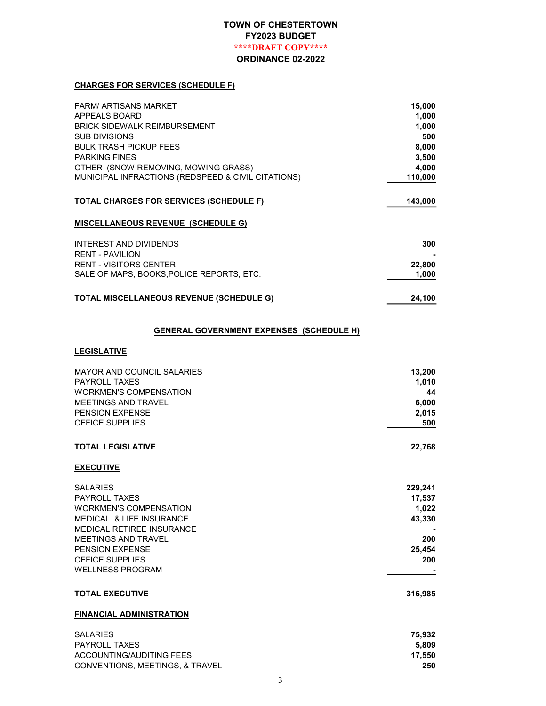#### CHARGES FOR SERVICES (SCHEDULE F)

| <b>FARM/ ARTISANS MARKET</b>                       | 15,000  |
|----------------------------------------------------|---------|
| APPEALS BOARD                                      | 1,000   |
| <b>BRICK SIDEWALK REIMBURSEMENT</b>                | 1,000   |
| SUB DIVISIONS                                      | 500     |
| <b>BULK TRASH PICKUP FEES</b>                      | 8,000   |
| <b>PARKING FINES</b>                               | 3,500   |
| OTHER (SNOW REMOVING, MOWING GRASS)                | 4,000   |
| MUNICIPAL INFRACTIONS (REDSPEED & CIVIL CITATIONS) | 110,000 |
| <b>TOTAL CHARGES FOR SERVICES (SCHEDULE F)</b>     | 143,000 |
| <b>MISCELLANEOUS REVENUE (SCHEDULE G)</b>          |         |
| INTEREST AND DIVIDENDS                             | 300     |
| <b>RENT - PAVILION</b>                             |         |
| <b>RENT - VISITORS CENTER</b>                      | 22,800  |
| SALE OF MAPS, BOOKS, POLICE REPORTS, ETC.          | 1,000   |
| <b>TOTAL MISCELLANEOUS REVENUE (SCHEDULE G)</b>    | 24,100  |

#### GENERAL GOVERNMENT EXPENSES (SCHEDULE H)

#### **LEGISLATIVE**

| <b>MAYOR AND COUNCIL SALARIES</b><br><b>PAYROLL TAXES</b><br><b>WORKMEN'S COMPENSATION</b><br>MEETINGS AND TRAVEL<br>PENSION EXPENSE<br><b>OFFICE SUPPLIES</b>                                                                          | 13,200<br>1,010<br>44<br>6,000<br>2,015<br>500               |
|-----------------------------------------------------------------------------------------------------------------------------------------------------------------------------------------------------------------------------------------|--------------------------------------------------------------|
| <b>TOTAL LEGISLATIVE</b>                                                                                                                                                                                                                | 22,768                                                       |
| <b>EXECUTIVE</b>                                                                                                                                                                                                                        |                                                              |
| <b>SALARIES</b><br><b>PAYROLL TAXES</b><br><b>WORKMEN'S COMPENSATION</b><br>MEDICAL & LIFE INSURANCE<br><b>MEDICAL RETIREE INSURANCE</b><br>MEETINGS AND TRAVEL<br><b>PENSION EXPENSE</b><br>OFFICE SUPPLIES<br><b>WELLNESS PROGRAM</b> | 229,241<br>17,537<br>1,022<br>43,330<br>200<br>25,454<br>200 |
| <b>TOTAL EXECUTIVE</b>                                                                                                                                                                                                                  | 316,985                                                      |
| <b>FINANCIAL ADMINISTRATION</b>                                                                                                                                                                                                         |                                                              |
| <b>SALARIES</b><br><b>PAYROLL TAXES</b><br><b>ACCOUNTING/AUDITING FEES</b>                                                                                                                                                              | 75,932<br>5,809<br>17.550                                    |

CONVENTIONS, MEETINGS, & TRAVEL 250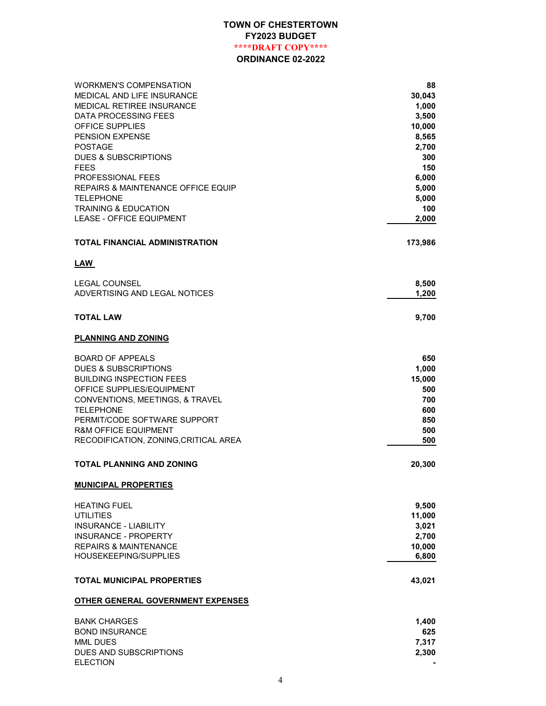| WORKMEN'S COMPENSATION                | 88      |
|---------------------------------------|---------|
| <b>MEDICAL AND LIFE INSURANCE</b>     | 30,043  |
| MEDICAL RETIREE INSURANCE             | 1,000   |
| <b>DATA PROCESSING FEES</b>           | 3,500   |
| <b>OFFICE SUPPLIES</b>                | 10,000  |
| PENSION EXPENSE                       | 8,565   |
| <b>POSTAGE</b>                        | 2,700   |
| <b>DUES &amp; SUBSCRIPTIONS</b>       | 300     |
| <b>FEES</b>                           | 150     |
| PROFESSIONAL FEES                     | 6,000   |
| REPAIRS & MAINTENANCE OFFICE EQUIP    | 5,000   |
| <b>TELEPHONE</b>                      | 5,000   |
| <b>TRAINING &amp; EDUCATION</b>       | 100     |
| <b>LEASE - OFFICE EQUIPMENT</b>       | 2,000   |
| <b>TOTAL FINANCIAL ADMINISTRATION</b> | 173,986 |
| <b>LAW</b>                            |         |
| <b>LEGAL COUNSEL</b>                  | 8,500   |
| ADVERTISING AND LEGAL NOTICES         | 1,200   |
| <b>TOTAL LAW</b>                      | 9,700   |
|                                       |         |
| <b>PLANNING AND ZONING</b>            |         |
| <b>BOARD OF APPEALS</b>               | 650     |
| <b>DUES &amp; SUBSCRIPTIONS</b>       | 1,000   |
| <b>BUILDING INSPECTION FEES</b>       | 15,000  |
| OFFICE SUPPLIES/EQUIPMENT             | 500     |
| CONVENTIONS, MEETINGS, & TRAVEL       | 700     |
| <b>TELEPHONE</b>                      | 600     |
| PERMIT/CODE SOFTWARE SUPPORT          | 850     |
| <b>R&amp;M OFFICE EQUIPMENT</b>       | 500     |
| RECODIFICATION, ZONING, CRITICAL AREA | 500     |
| <b>TOTAL PLANNING AND ZONING</b>      | 20,300  |
| <b>MUNICIPAL PROPERTIES</b>           |         |
| <b>HEATING FUEL</b>                   | 9,500   |
| <b>UTILITIES</b>                      | 11,000  |
| <b>INSURANCE - LIABILITY</b>          | 3,021   |
| INSURANCE - PROPERTY                  | 2,700   |
| <b>REPAIRS &amp; MAINTENANCE</b>      | 10,000  |
| HOUSEKEEPING/SUPPLIES                 | 6,800   |
| <b>TOTAL MUNICIPAL PROPERTIES</b>     | 43,021  |
|                                       |         |
| OTHER GENERAL GOVERNMENT EXPENSES     |         |
| <b>BANK CHARGES</b>                   | 1,400   |
| <b>BOND INSURANCE</b>                 | 625     |
| <b>MML DUES</b>                       | 7,317   |
| DUES AND SUBSCRIPTIONS                | 2,300   |
| <b>ELECTION</b>                       |         |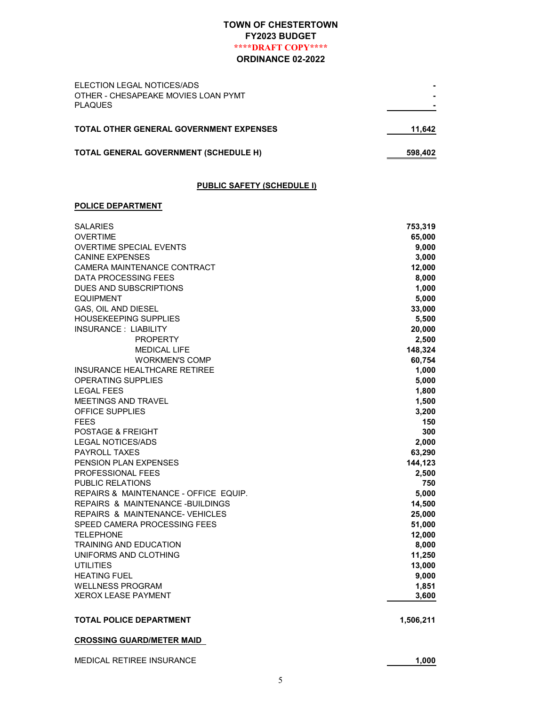| ELECTION LEGAL NOTICES/ADS<br>OTHER - CHESAPEAKE MOVIES LOAN PYMT<br><b>PLAQUES</b> |         |
|-------------------------------------------------------------------------------------|---------|
| <b>TOTAL OTHER GENERAL GOVERNMENT EXPENSES</b>                                      | 11.642  |
| TOTAL GENERAL GOVERNMENT (SCHEDULE H)                                               | 598,402 |

#### PUBLIC SAFETY (SCHEDULE I)

#### POLICE DEPARTMENT

| <b>SALARIES</b>                       | 753,319   |
|---------------------------------------|-----------|
| <b>OVERTIME</b>                       | 65,000    |
| <b>OVERTIME SPECIAL EVENTS</b>        | 9,000     |
| <b>CANINE EXPENSES</b>                | 3,000     |
| CAMERA MAINTENANCE CONTRACT           | 12,000    |
| DATA PROCESSING FEES                  | 8,000     |
| DUES AND SUBSCRIPTIONS                | 1,000     |
| <b>EQUIPMENT</b>                      | 5,000     |
| GAS, OIL AND DIESEL                   | 33,000    |
| HOUSEKEEPING SUPPLIES                 | 5,500     |
| <b>INSURANCE: LIABILITY</b>           | 20,000    |
| <b>PROPERTY</b>                       | 2,500     |
| <b>MEDICAL LIFE</b>                   | 148,324   |
| <b>WORKMEN'S COMP</b>                 | 60,754    |
| INSURANCE HEALTHCARE RETIREE          | 1,000     |
| OPERATING SUPPLIES                    | 5,000     |
| <b>LEGAL FEES</b>                     | 1,800     |
| MEETINGS AND TRAVEL                   | 1,500     |
| <b>OFFICE SUPPLIES</b>                | 3,200     |
| <b>FEES</b>                           | 150       |
| <b>POSTAGE &amp; FREIGHT</b>          | 300       |
| <b>LEGAL NOTICES/ADS</b>              | 2,000     |
| <b>PAYROLL TAXES</b>                  | 63,290    |
| <b>PENSION PLAN EXPENSES</b>          | 144,123   |
| <b>PROFESSIONAL FEES</b>              | 2,500     |
| <b>PUBLIC RELATIONS</b>               | 750       |
| REPAIRS & MAINTENANCE - OFFICE EQUIP. | 5,000     |
| REPAIRS & MAINTENANCE-BUILDINGS       | 14,500    |
| REPAIRS & MAINTENANCE-VEHICLES        | 25,000    |
| SPEED CAMERA PROCESSING FEES          | 51,000    |
| <b>TELEPHONE</b>                      | 12,000    |
| TRAINING AND EDUCATION                | 8,000     |
| UNIFORMS AND CLOTHING                 | 11,250    |
| <b>UTILITIES</b>                      | 13,000    |
| <b>HEATING FUEL</b>                   | 9,000     |
| <b>WELLNESS PROGRAM</b>               | 1,851     |
| <b>XEROX LEASE PAYMENT</b>            | 3,600     |
| <b>TOTAL POLICE DEPARTMENT</b>        | 1,506,211 |
| <b>CROSSING GUARD/METER MAID</b>      |           |
| <b>MEDICAL RETIREE INSURANCE</b>      | 1,000     |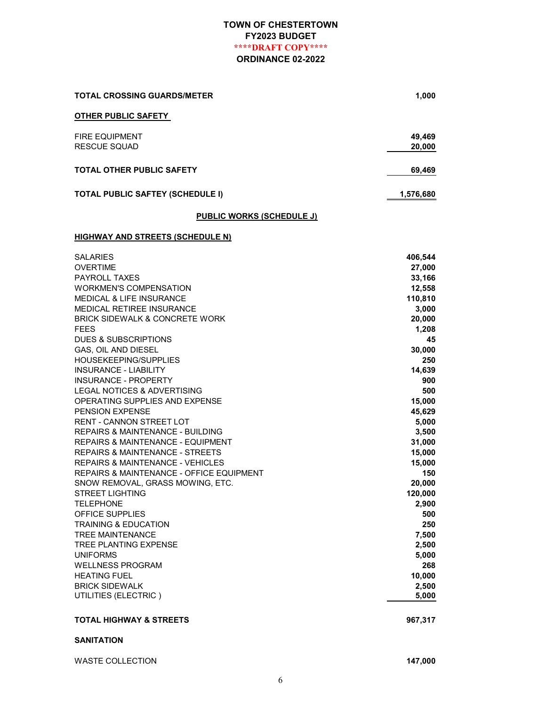| <b>TOTAL CROSSING GUARDS/METER</b>      | 1,000            |
|-----------------------------------------|------------------|
| <b>OTHER PUBLIC SAFETY</b>              |                  |
| <b>FIRE EQUIPMENT</b><br>RESCUE SQUAD   | 49,469<br>20,000 |
| <b>TOTAL OTHER PUBLIC SAFETY</b>        | 69,469           |
| <b>TOTAL PUBLIC SAFTEY (SCHEDULE I)</b> | 1,576,680        |

# PUBLIC WORKS (SCHEDULE J)

#### **HIGHWAY AND STREETS (SCHEDULE N)**

| <b>SALARIES</b>                              | 406,544 |
|----------------------------------------------|---------|
| <b>OVERTIME</b>                              | 27,000  |
| <b>PAYROLL TAXES</b>                         | 33,166  |
| <b>WORKMEN'S COMPENSATION</b>                | 12,558  |
| <b>MEDICAL &amp; LIFE INSURANCE</b>          | 110,810 |
| <b>MEDICAL RETIREE INSURANCE</b>             | 3,000   |
| <b>BRICK SIDEWALK &amp; CONCRETE WORK</b>    | 20,000  |
| <b>FEES</b>                                  | 1,208   |
| DUES & SUBSCRIPTIONS                         | 45      |
| GAS, OIL AND DIESEL                          | 30,000  |
| <b>HOUSEKEEPING/SUPPLIES</b>                 | 250     |
| <b>INSURANCE - LIABILITY</b>                 | 14,639  |
| <b>INSURANCE - PROPERTY</b>                  | 900     |
| <b>LEGAL NOTICES &amp; ADVERTISING</b>       | 500     |
| OPERATING SUPPLIES AND EXPENSE               | 15,000  |
| <b>PENSION EXPENSE</b>                       | 45,629  |
| <b>RENT - CANNON STREET LOT</b>              | 5,000   |
| REPAIRS & MAINTENANCE - BUILDING             | 3,500   |
| <b>REPAIRS &amp; MAINTENANCE - EQUIPMENT</b> | 31,000  |
| <b>REPAIRS &amp; MAINTENANCE - STREETS</b>   | 15,000  |
| <b>REPAIRS &amp; MAINTENANCE - VEHICLES</b>  | 15,000  |
| REPAIRS & MAINTENANCE - OFFICE EQUIPMENT     | 150     |
| SNOW REMOVAL, GRASS MOWING, ETC.             | 20,000  |
| <b>STREET LIGHTING</b>                       | 120,000 |
| <b>TELEPHONE</b>                             | 2,900   |
| <b>OFFICE SUPPLIES</b>                       | 500     |
| <b>TRAINING &amp; EDUCATION</b>              | 250     |
| <b>TREE MAINTENANCE</b>                      | 7,500   |
| <b>TREE PLANTING EXPENSE</b>                 | 2,500   |
| <b>UNIFORMS</b>                              | 5,000   |
| <b>WELLNESS PROGRAM</b>                      | 268     |
| <b>HEATING FUEL</b>                          | 10,000  |
| <b>BRICK SIDEWALK</b>                        | 2,500   |
| UTILITIES (ELECTRIC)                         | 5,000   |
| <b>TOTAL HIGHWAY &amp; STREETS</b>           | 967,317 |
| <b>CANITATION</b>                            |         |

#### SANITATION

WASTE COLLECTION **147,000**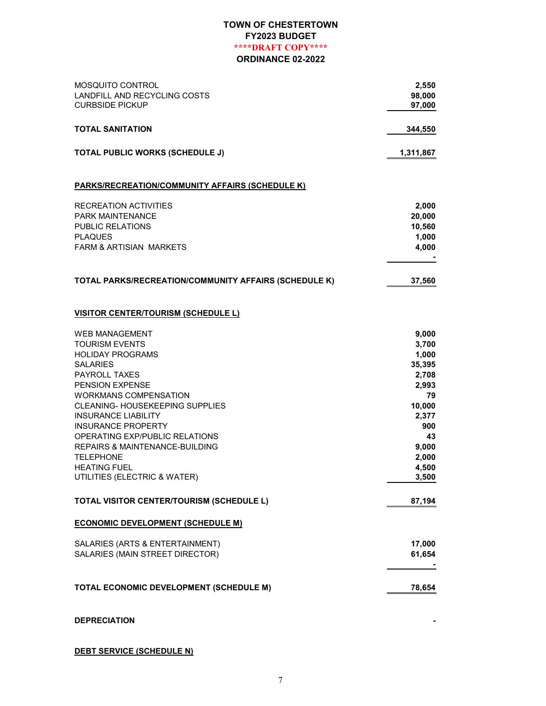| <b>MOSQUITO CONTROL</b><br>LANDFILL AND RECYCLING COSTS<br><b>CURBSIDE PICKUP</b> | 2,550<br>98,000<br>97,000 |
|-----------------------------------------------------------------------------------|---------------------------|
| <b>TOTAL SANITATION</b>                                                           | 344,550                   |
| <b>TOTAL PUBLIC WORKS (SCHEDULE J)</b>                                            | 1,311,867                 |
| <b>PARKS/RECREATION/COMMUNITY AFFAIRS (SCHEDULE K)</b>                            |                           |
| <b>RECREATION ACTIVITIES</b>                                                      | 2,000                     |
| <b>PARK MAINTENANCE</b>                                                           | 20,000                    |
| PUBLIC RELATIONS                                                                  | 10,560                    |
| <b>PLAQUES</b>                                                                    | 1,000                     |
| FARM & ARTISIAN MARKETS                                                           | 4,000                     |
| TOTAL PARKS/RECREATION/COMMUNITY AFFAIRS (SCHEDULE K)                             | 37,560                    |
| <b>VISITOR CENTER/TOURISM (SCHEDULE L)</b>                                        |                           |
| <b>WEB MANAGEMENT</b>                                                             | 9,000                     |
| <b>TOURISM EVENTS</b>                                                             | 3,700                     |
| <b>HOLIDAY PROGRAMS</b>                                                           | 1,000                     |
| <b>SALARIES</b>                                                                   | 35,395                    |
| <b>PAYROLL TAXES</b>                                                              | 2,708                     |
| <b>PENSION EXPENSE</b><br><b>WORKMANS COMPENSATION</b>                            | 2,993<br>79               |
| CLEANING- HOUSEKEEPING SUPPLIES                                                   | 10,000                    |
| <b>INSURANCE LIABILITY</b>                                                        | 2,377                     |
| <b>INSURANCE PROPERTY</b>                                                         | 900                       |
| OPERATING EXP/PUBLIC RELATIONS                                                    | 43                        |
| <b>REPAIRS &amp; MAINTENANCE-BUILDING</b>                                         | 9,000                     |
| <b>TELEPHONE</b>                                                                  | 2,000                     |
| <b>HEATING FUEL</b>                                                               | 4,500                     |
| UTILITIES (ELECTRIC & WATER)                                                      | 3,500                     |
| TOTAL VISITOR CENTER/TOURISM (SCHEDULE L)                                         | 87,194                    |
| <b>ECONOMIC DEVELOPMENT (SCHEDULE M)</b>                                          |                           |
| SALARIES (ARTS & ENTERTAINMENT)                                                   | 17,000                    |
| SALARIES (MAIN STREET DIRECTOR)                                                   | 61,654                    |
|                                                                                   |                           |
| TOTAL ECONOMIC DEVELOPMENT (SCHEDULE M)                                           | 78,654                    |
| <b>DEPRECIATION</b>                                                               |                           |

DEBT SERVICE (SCHEDULE N)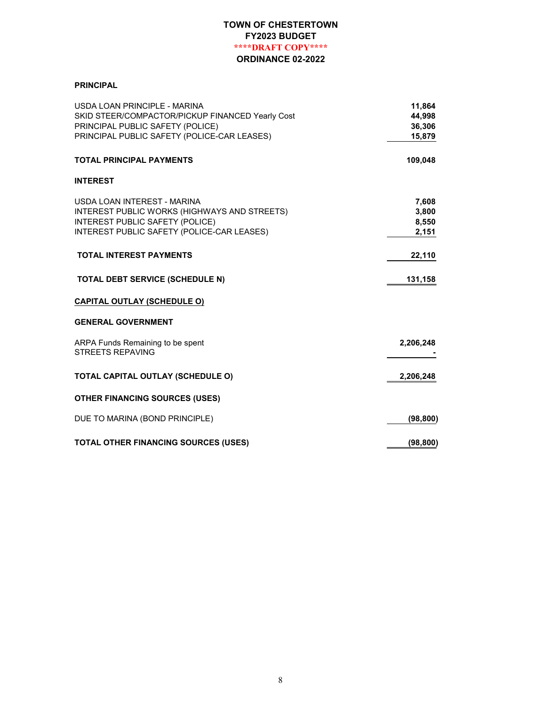#### PRINCIPAL

| USDA LOAN PRINCIPLE - MARINA<br>SKID STEER/COMPACTOR/PICKUP FINANCED Yearly Cost<br>PRINCIPAL PUBLIC SAFETY (POLICE)<br>PRINCIPAL PUBLIC SAFETY (POLICE-CAR LEASES) | 11,864<br>44,998<br>36,306<br>15,879 |
|---------------------------------------------------------------------------------------------------------------------------------------------------------------------|--------------------------------------|
| <b>TOTAL PRINCIPAL PAYMENTS</b>                                                                                                                                     | 109,048                              |
| <b>INTEREST</b>                                                                                                                                                     |                                      |
| USDA LOAN INTEREST - MARINA<br>INTEREST PUBLIC WORKS (HIGHWAYS AND STREETS)<br>INTEREST PUBLIC SAFETY (POLICE)<br>INTEREST PUBLIC SAFETY (POLICE-CAR LEASES)        | 7,608<br>3,800<br>8,550<br>2,151     |
| <b>TOTAL INTEREST PAYMENTS</b>                                                                                                                                      | 22,110                               |
| TOTAL DEBT SERVICE (SCHEDULE N)                                                                                                                                     | 131,158                              |
| <u>CAPITAL OUTLAY (SCHEDULE O)</u>                                                                                                                                  |                                      |
| <b>GENERAL GOVERNMENT</b>                                                                                                                                           |                                      |
| ARPA Funds Remaining to be spent<br><b>STREETS REPAVING</b>                                                                                                         | 2,206,248                            |
| TOTAL CAPITAL OUTLAY (SCHEDULE O)                                                                                                                                   | 2,206,248                            |
| <b>OTHER FINANCING SOURCES (USES)</b>                                                                                                                               |                                      |
| DUE TO MARINA (BOND PRINCIPLE)                                                                                                                                      | (98, 800)                            |
| TOTAL OTHER FINANCING SOURCES (USES)                                                                                                                                | (98, 800)                            |
|                                                                                                                                                                     |                                      |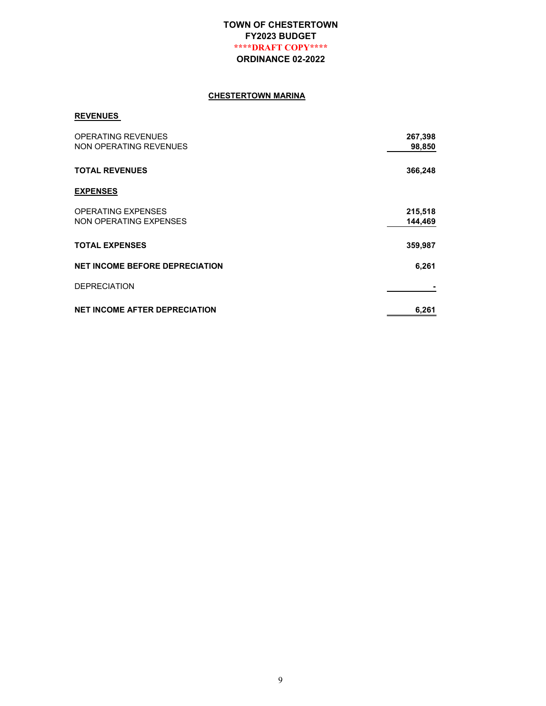#### CHESTERTOWN MARINA

#### REVENUES

| <b>OPERATING REVENUES</b><br><b>NON OPERATING REVENUES</b> | 267,398<br>98,850  |
|------------------------------------------------------------|--------------------|
| <b>TOTAL REVENUES</b>                                      | 366,248            |
| <b>EXPENSES</b>                                            |                    |
| <b>OPERATING EXPENSES</b><br>NON OPERATING EXPENSES        | 215,518<br>144,469 |
| <b>TOTAL EXPENSES</b>                                      | 359,987            |
| <b>NET INCOME BEFORE DEPRECIATION</b>                      | 6,261              |
| <b>DEPRECIATION</b>                                        |                    |
| <b>NET INCOME AFTER DEPRECIATION</b>                       | 6,261              |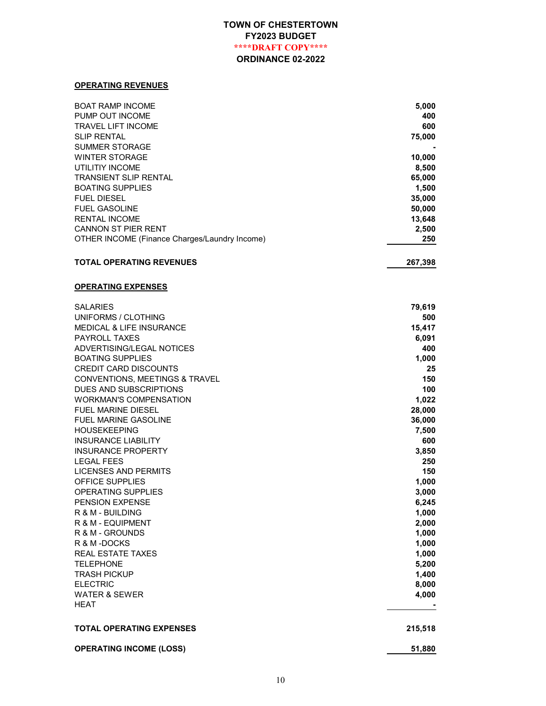#### OPERATING REVENUES

| <b>BOAT RAMP INCOME</b><br>PUMP OUT INCOME<br><b>TRAVEL LIFT INCOME</b><br><b>SLIP RENTAL</b><br><b>SUMMER STORAGE</b><br><b>WINTER STORAGE</b><br>UTILITIY INCOME | 5,000<br>400<br>600<br>75,000<br>10,000<br>8,500 |
|--------------------------------------------------------------------------------------------------------------------------------------------------------------------|--------------------------------------------------|
| <b>TRANSIENT SLIP RENTAL</b>                                                                                                                                       | 65,000                                           |
| <b>BOATING SUPPLIES</b>                                                                                                                                            | 1,500                                            |
| <b>FUEL DIESEL</b>                                                                                                                                                 | 35,000                                           |
| <b>FUEL GASOLINE</b>                                                                                                                                               | 50,000                                           |
| <b>RENTAL INCOME</b>                                                                                                                                               | 13,648                                           |
| <b>CANNON ST PIER RENT</b>                                                                                                                                         | 2,500                                            |
| OTHER INCOME (Finance Charges/Laundry Income)                                                                                                                      | 250                                              |
| <b>TOTAL OPERATING REVENUES</b>                                                                                                                                    | 267,398                                          |
| <b>OPERATING EXPENSES</b>                                                                                                                                          |                                                  |
| <b>SALARIES</b>                                                                                                                                                    | 79,619                                           |
| UNIFORMS / CLOTHING                                                                                                                                                | 500                                              |
| <b>MEDICAL &amp; LIFE INSURANCE</b><br><b>PAYROLL TAXES</b>                                                                                                        | 15,417                                           |
| ADVERTISING/LEGAL NOTICES                                                                                                                                          | 6,091<br>400                                     |
| <b>BOATING SUPPLIES</b>                                                                                                                                            | 1,000                                            |
| <b>CREDIT CARD DISCOUNTS</b>                                                                                                                                       | 25                                               |
| CONVENTIONS, MEETINGS & TRAVEL                                                                                                                                     | 150                                              |
| DUES AND SUBSCRIPTIONS                                                                                                                                             | 100                                              |
| <b>WORKMAN'S COMPENSATION</b>                                                                                                                                      | 1,022                                            |
| <b>FUEL MARINE DIESEL</b>                                                                                                                                          | 28,000                                           |
| <b>FUEL MARINE GASOLINE</b>                                                                                                                                        | 36,000                                           |
| <b>HOUSEKEEPING</b>                                                                                                                                                | 7,500                                            |
| <b>INSURANCE LIABILITY</b>                                                                                                                                         | 600                                              |
| <b>INSURANCE PROPERTY</b>                                                                                                                                          | 3,850                                            |
| <b>LEGAL FEES</b>                                                                                                                                                  | 250                                              |
| <b>LICENSES AND PERMITS</b>                                                                                                                                        | 150                                              |
| OFFICE SUPPLIES                                                                                                                                                    | 1,000                                            |
| <b>OPERATING SUPPLIES</b>                                                                                                                                          | 3,000                                            |
| <b>PENSION EXPENSE</b><br>R & M - BUILDING                                                                                                                         | 6,245                                            |
| R & M - EQUIPMENT                                                                                                                                                  | 1,000<br>2,000                                   |
| R & M - GROUNDS                                                                                                                                                    | 1,000                                            |
| R & M -DOCKS                                                                                                                                                       | 1,000                                            |
| <b>REAL ESTATE TAXES</b>                                                                                                                                           | 1,000                                            |
| <b>TELEPHONE</b>                                                                                                                                                   | 5,200                                            |
| <b>TRASH PICKUP</b>                                                                                                                                                | 1,400                                            |
| <b>ELECTRIC</b>                                                                                                                                                    | 8,000                                            |
| <b>WATER &amp; SEWER</b>                                                                                                                                           | 4,000                                            |
| HEAT                                                                                                                                                               |                                                  |
| <b>TOTAL OPERATING EXPENSES</b>                                                                                                                                    | 215,518                                          |
| <b>OPERATING INCOME (LOSS)</b>                                                                                                                                     | 51,880                                           |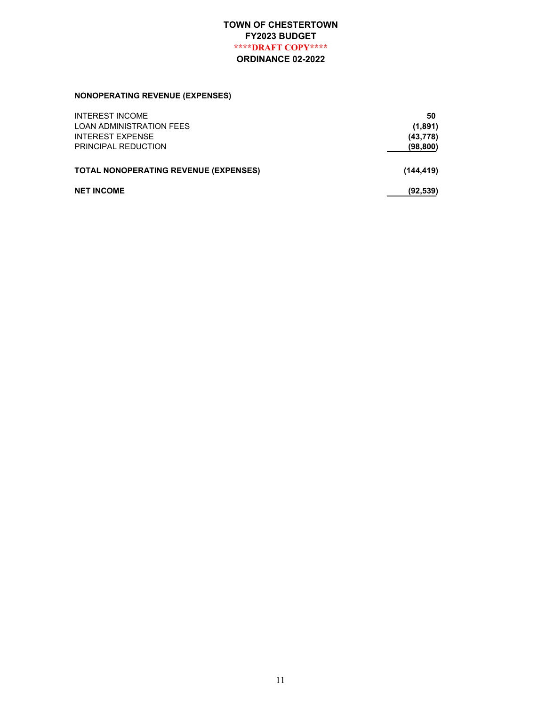# NONOPERATING REVENUE (EXPENSES)

| <b>INTEREST INCOME</b>                       | 50         |
|----------------------------------------------|------------|
| <b>LOAN ADMINISTRATION FEES</b>              | (1,891)    |
| <b>INTEREST EXPENSE</b>                      | (43, 778)  |
| PRINCIPAL REDUCTION                          | (98, 800)  |
| <b>TOTAL NONOPERATING REVENUE (EXPENSES)</b> | (144, 419) |
|                                              |            |
| <b>NET INCOME</b>                            | (92, 539)  |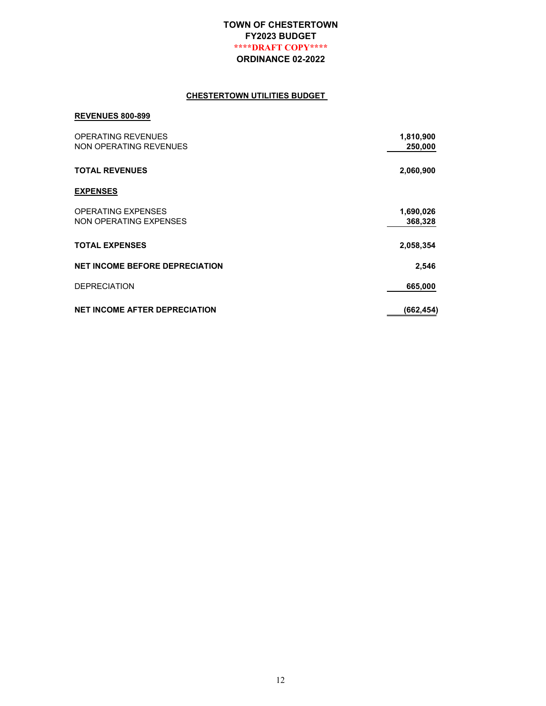#### CHESTERTOWN UTILITIES BUDGET

#### REVENUES 800-899

| <b>OPERATING REVENUES</b><br>NON OPERATING REVENUES | 1,810,900<br>250,000 |
|-----------------------------------------------------|----------------------|
| <b>TOTAL REVENUES</b>                               | 2,060,900            |
| <b>EXPENSES</b>                                     |                      |
| <b>OPERATING EXPENSES</b><br>NON OPERATING EXPENSES | 1,690,026<br>368,328 |
| <b>TOTAL EXPENSES</b>                               | 2,058,354            |
| <b>NET INCOME BEFORE DEPRECIATION</b>               | 2,546                |
| <b>DEPRECIATION</b>                                 | 665,000              |
| <b>NET INCOME AFTER DEPRECIATION</b>                | (662, 454)           |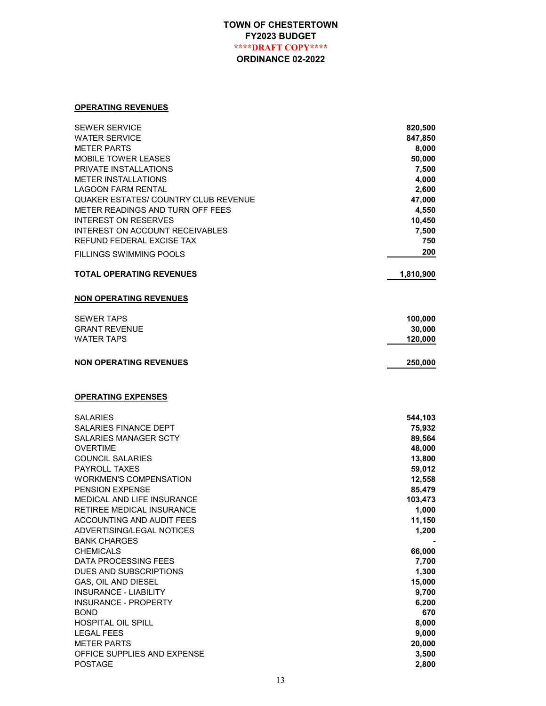#### OPERATING REVENUES

| SEWER SERVICE                                    | 820,500      |
|--------------------------------------------------|--------------|
| WATER SERVICE                                    | 847,850      |
| <b>METER PARTS</b>                               | 8,000        |
| <b>MOBILE TOWER LEASES</b>                       | 50,000       |
| PRIVATE INSTALLATIONS                            | 7,500        |
| <b>METER INSTALLATIONS</b>                       | 4,000        |
| LAGOON FARM RENTAL                               | 2,600        |
| QUAKER ESTATES/ COUNTRY CLUB REVENUE             | 47,000       |
| METER READINGS AND TURN OFF FEES                 | 4,550        |
| <b>INTEREST ON RESERVES</b>                      | 10,450       |
| INTEREST ON ACCOUNT RECEIVABLES                  | 7,500<br>750 |
| REFUND FEDERAL EXCISE TAX                        |              |
| FILLINGS SWIMMING POOLS                          | 200          |
| <b>TOTAL OPERATING REVENUES</b>                  | 1,810,900    |
| <b>NON OPERATING REVENUES</b>                    |              |
| <b>SEWER TAPS</b>                                | 100,000      |
| <b>GRANT REVENUE</b>                             | 30,000       |
| <b>WATER TAPS</b>                                | 120,000      |
| <b>NON OPERATING REVENUES</b>                    | 250,000      |
|                                                  |              |
| <b>OPERATING EXPENSES</b>                        |              |
| SALARIES                                         | 544,103      |
| SALARIES FINANCE DEPT                            | 75,932       |
| SALARIES MANAGER SCTY                            | 89,564       |
| <b>OVERTIME</b>                                  | 48,000       |
| <b>COUNCIL SALARIES</b>                          | 13,800       |
| <b>PAYROLL TAXES</b>                             | 59,012       |
| <b>WORKMEN'S COMPENSATION</b>                    | 12,558       |
| PENSION EXPENSE                                  | 85,479       |
| MEDICAL AND LIFE INSURANCE                       | 103,473      |
| RETIREE MEDICAL INSURANCE                        | 1,000        |
| ACCOUNTING AND AUDIT FEES                        | 11.150       |
| ADVERTISING/LEGAL NOTICES<br><b>BANK CHARGES</b> | 1,200        |
| <b>CHEMICALS</b>                                 | 66,000       |
| DATA PROCESSING FEES                             | 7,700        |
| DUES AND SUBSCRIPTIONS                           | 1,300        |
| GAS, OIL AND DIESEL                              | 15,000       |
| <b>INSURANCE - LIABILITY</b>                     | 9,700        |
| <b>INSURANCE - PROPERTY</b>                      | 6,200        |
| <b>BOND</b>                                      | 670          |
| HOSPITAL OIL SPILL                               | 8,000        |
| <b>LEGAL FEES</b>                                | 9,000        |
| <b>METER PARTS</b>                               | 20,000       |
| OFFICE SUPPLIES AND EXPENSE                      | 3,500        |
| POSTAGE                                          | 2,800        |